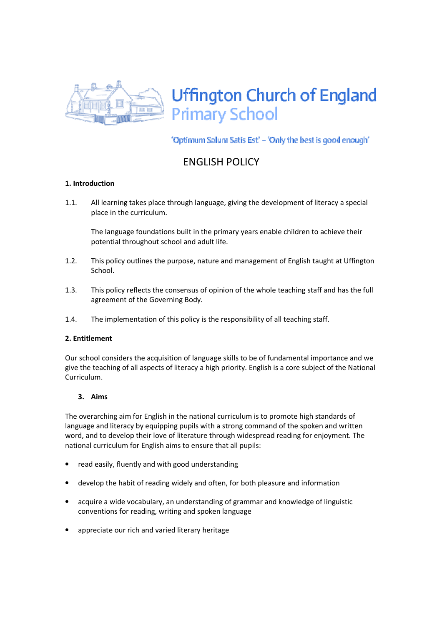

'Optimum Solum Satis Est' - 'Only the best is good enough'

# ENGLISH POLICY

# 1. Introduction

1.1. All learning takes place through language, giving the development of literacy a special place in the curriculum.

The language foundations built in the primary years enable children to achieve their potential throughout school and adult life.

- 1.2. This policy outlines the purpose, nature and management of English taught at Uffington School.
- 1.3. This policy reflects the consensus of opinion of the whole teaching staff and has the full agreement of the Governing Body.
- 1.4. The implementation of this policy is the responsibility of all teaching staff.

## 2. Entitlement

Our school considers the acquisition of language skills to be of fundamental importance and we give the teaching of all aspects of literacy a high priority. English is a core subject of the National Curriculum.

## 3. Aims

The overarching aim for English in the national curriculum is to promote high standards of language and literacy by equipping pupils with a strong command of the spoken and written word, and to develop their love of literature through widespread reading for enjoyment. The national curriculum for English aims to ensure that all pupils:

- read easily, fluently and with good understanding
- develop the habit of reading widely and often, for both pleasure and information
- acquire a wide vocabulary, an understanding of grammar and knowledge of linguistic conventions for reading, writing and spoken language
- appreciate our rich and varied literary heritage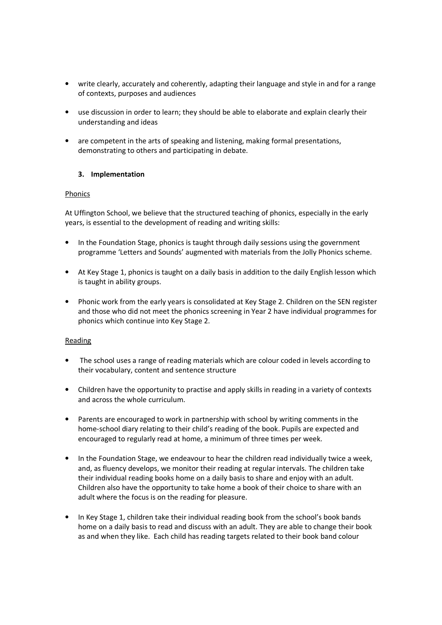- write clearly, accurately and coherently, adapting their language and style in and for a range of contexts, purposes and audiences
- use discussion in order to learn; they should be able to elaborate and explain clearly their understanding and ideas
- are competent in the arts of speaking and listening, making formal presentations, demonstrating to others and participating in debate.

## 3. Implementation

## Phonics

At Uffington School, we believe that the structured teaching of phonics, especially in the early years, is essential to the development of reading and writing skills:

- In the Foundation Stage, phonics is taught through daily sessions using the government programme 'Letters and Sounds' augmented with materials from the Jolly Phonics scheme.
- At Key Stage 1, phonics is taught on a daily basis in addition to the daily English lesson which is taught in ability groups.
- Phonic work from the early years is consolidated at Key Stage 2. Children on the SEN register and those who did not meet the phonics screening in Year 2 have individual programmes for phonics which continue into Key Stage 2.

## Reading

- The school uses a range of reading materials which are colour coded in levels according to their vocabulary, content and sentence structure
- Children have the opportunity to practise and apply skills in reading in a variety of contexts and across the whole curriculum.
- Parents are encouraged to work in partnership with school by writing comments in the home-school diary relating to their child's reading of the book. Pupils are expected and encouraged to regularly read at home, a minimum of three times per week.
- In the Foundation Stage, we endeavour to hear the children read individually twice a week, and, as fluency develops, we monitor their reading at regular intervals. The children take their individual reading books home on a daily basis to share and enjoy with an adult. Children also have the opportunity to take home a book of their choice to share with an adult where the focus is on the reading for pleasure.
- In Key Stage 1, children take their individual reading book from the school's book bands home on a daily basis to read and discuss with an adult. They are able to change their book as and when they like. Each child has reading targets related to their book band colour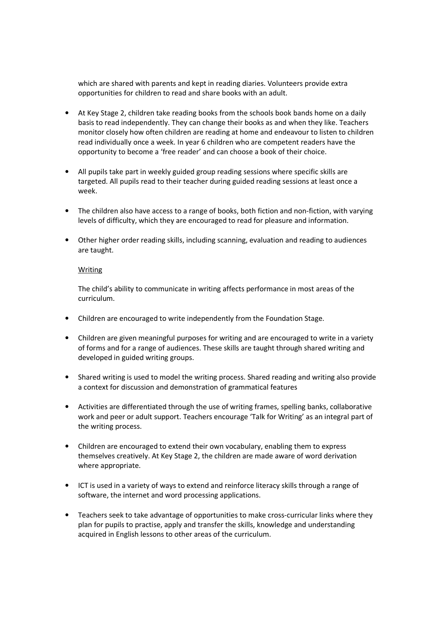which are shared with parents and kept in reading diaries. Volunteers provide extra opportunities for children to read and share books with an adult.

- At Key Stage 2, children take reading books from the schools book bands home on a daily basis to read independently. They can change their books as and when they like. Teachers monitor closely how often children are reading at home and endeavour to listen to children read individually once a week. In year 6 children who are competent readers have the opportunity to become a 'free reader' and can choose a book of their choice.
- All pupils take part in weekly guided group reading sessions where specific skills are targeted. All pupils read to their teacher during guided reading sessions at least once a week.
- The children also have access to a range of books, both fiction and non-fiction, with varying levels of difficulty, which they are encouraged to read for pleasure and information.
- Other higher order reading skills, including scanning, evaluation and reading to audiences are taught.

#### Writing

The child's ability to communicate in writing affects performance in most areas of the curriculum.

- Children are encouraged to write independently from the Foundation Stage.
- Children are given meaningful purposes for writing and are encouraged to write in a variety of forms and for a range of audiences. These skills are taught through shared writing and developed in guided writing groups.
- Shared writing is used to model the writing process. Shared reading and writing also provide a context for discussion and demonstration of grammatical features
- Activities are differentiated through the use of writing frames, spelling banks, collaborative work and peer or adult support. Teachers encourage 'Talk for Writing' as an integral part of the writing process.
- Children are encouraged to extend their own vocabulary, enabling them to express themselves creatively. At Key Stage 2, the children are made aware of word derivation where appropriate.
- ICT is used in a variety of ways to extend and reinforce literacy skills through a range of software, the internet and word processing applications.
- Teachers seek to take advantage of opportunities to make cross-curricular links where they plan for pupils to practise, apply and transfer the skills, knowledge and understanding acquired in English lessons to other areas of the curriculum.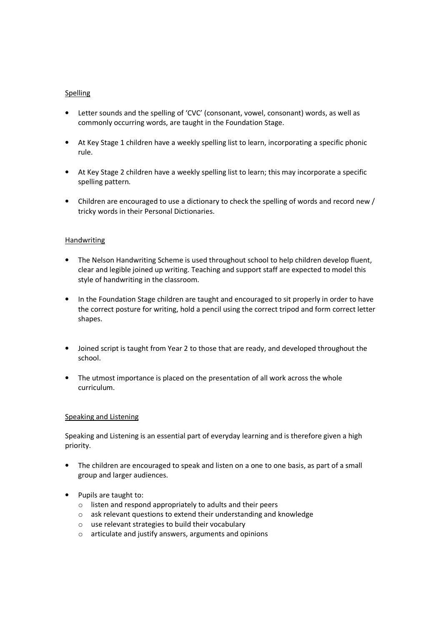## **Spelling**

- Letter sounds and the spelling of 'CVC' (consonant, vowel, consonant) words, as well as commonly occurring words, are taught in the Foundation Stage.
- At Key Stage 1 children have a weekly spelling list to learn, incorporating a specific phonic rule.
- At Key Stage 2 children have a weekly spelling list to learn; this may incorporate a specific spelling pattern.
- Children are encouraged to use a dictionary to check the spelling of words and record new / tricky words in their Personal Dictionaries.

# Handwriting

- The Nelson Handwriting Scheme is used throughout school to help children develop fluent, clear and legible joined up writing. Teaching and support staff are expected to model this style of handwriting in the classroom.
- In the Foundation Stage children are taught and encouraged to sit properly in order to have the correct posture for writing, hold a pencil using the correct tripod and form correct letter shapes.
- Joined script is taught from Year 2 to those that are ready, and developed throughout the school.
- The utmost importance is placed on the presentation of all work across the whole curriculum.

## Speaking and Listening

Speaking and Listening is an essential part of everyday learning and is therefore given a high priority.

- The children are encouraged to speak and listen on a one to one basis, as part of a small group and larger audiences.
- Pupils are taught to:
	- o listen and respond appropriately to adults and their peers
	- o ask relevant questions to extend their understanding and knowledge
	- o use relevant strategies to build their vocabulary
	- o articulate and justify answers, arguments and opinions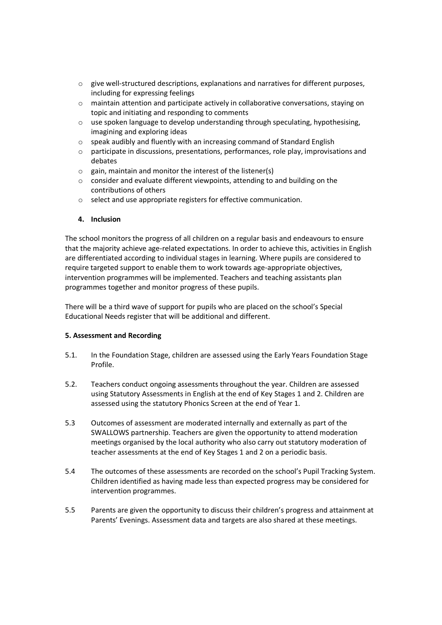- $\circ$  give well-structured descriptions, explanations and narratives for different purposes, including for expressing feelings
- $\circ$  maintain attention and participate actively in collaborative conversations, staying on topic and initiating and responding to comments
- $\circ$  use spoken language to develop understanding through speculating, hypothesising, imagining and exploring ideas
- o speak audibly and fluently with an increasing command of Standard English
- $\circ$  participate in discussions, presentations, performances, role play, improvisations and debates
- $\circ$  gain, maintain and monitor the interest of the listener(s)
- o consider and evaluate different viewpoints, attending to and building on the contributions of others
- o select and use appropriate registers for effective communication.

# 4. Inclusion

The school monitors the progress of all children on a regular basis and endeavours to ensure that the majority achieve age-related expectations. In order to achieve this, activities in English are differentiated according to individual stages in learning. Where pupils are considered to require targeted support to enable them to work towards age-appropriate objectives, intervention programmes will be implemented. Teachers and teaching assistants plan programmes together and monitor progress of these pupils.

There will be a third wave of support for pupils who are placed on the school's Special Educational Needs register that will be additional and different.

## 5. Assessment and Recording

- 5.1. In the Foundation Stage, children are assessed using the Early Years Foundation Stage Profile.
- 5.2. Teachers conduct ongoing assessments throughout the year. Children are assessed using Statutory Assessments in English at the end of Key Stages 1 and 2. Children are assessed using the statutory Phonics Screen at the end of Year 1.
- 5.3 Outcomes of assessment are moderated internally and externally as part of the SWALLOWS partnership. Teachers are given the opportunity to attend moderation meetings organised by the local authority who also carry out statutory moderation of teacher assessments at the end of Key Stages 1 and 2 on a periodic basis.
- 5.4 The outcomes of these assessments are recorded on the school's Pupil Tracking System. Children identified as having made less than expected progress may be considered for intervention programmes.
- 5.5 Parents are given the opportunity to discuss their children's progress and attainment at Parents' Evenings. Assessment data and targets are also shared at these meetings.